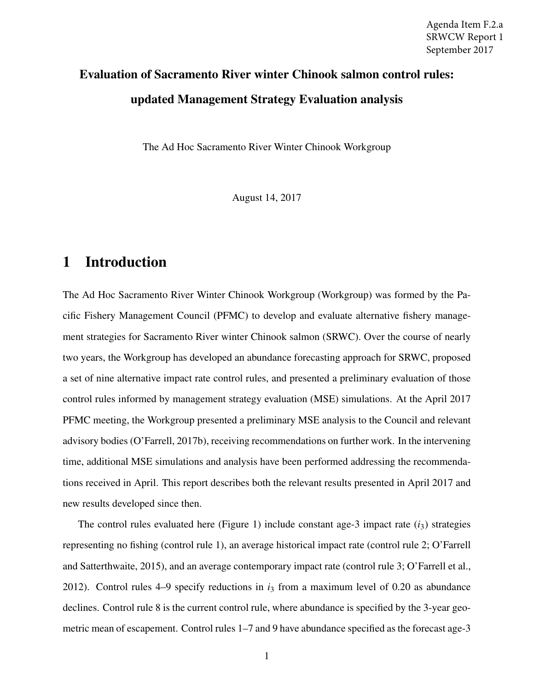# Evaluation of Sacramento River winter Chinook salmon control rules: updated Management Strategy Evaluation analysis

The Ad Hoc Sacramento River Winter Chinook Workgroup

August 14, 2017

# 1 Introduction

The Ad Hoc Sacramento River Winter Chinook Workgroup (Workgroup) was formed by the Pacific Fishery Management Council (PFMC) to develop and evaluate alternative fishery management strategies for Sacramento River winter Chinook salmon (SRWC). Over the course of nearly two years, the Workgroup has developed an abundance forecasting approach for SRWC, proposed a set of nine alternative impact rate control rules, and presented a preliminary evaluation of those control rules informed by management strategy evaluation (MSE) simulations. At the April 2017 PFMC meeting, the Workgroup presented a preliminary MSE analysis to the Council and relevant advisory bodies (O'Farrell, 2017b), receiving recommendations on further work. In the intervening time, additional MSE simulations and analysis have been performed addressing the recommendations received in April. This report describes both the relevant results presented in April 2017 and new results developed since then.

The control rules evaluated here (Figure 1) include constant age-3 impact rate  $(i<sub>3</sub>)$  strategies representing no fishing (control rule 1), an average historical impact rate (control rule 2; O'Farrell and Satterthwaite, 2015), and an average contemporary impact rate (control rule 3; O'Farrell et al., 2012). Control rules 4–9 specify reductions in *i*<sup>3</sup> from a maximum level of 0.20 as abundance declines. Control rule 8 is the current control rule, where abundance is specified by the 3-year geometric mean of escapement. Control rules 1–7 and 9 have abundance specified as the forecast age-3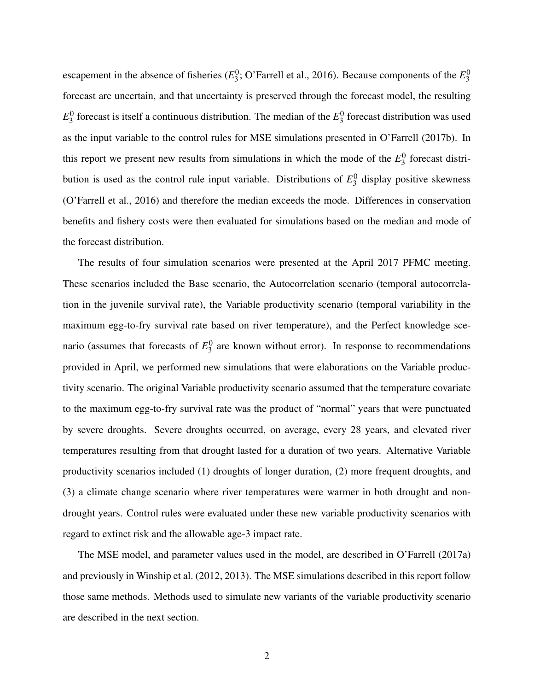escapement in the absence of fisheries  $(E_3^0)$  $^{0,0}_{3}$ ; O'Farrell et al., 2016). Because components of the  $E_3^0$ 3 forecast are uncertain, and that uncertainty is preserved through the forecast model, the resulting  $E_3^0$  $\frac{0}{3}$  forecast is itself a continuous distribution. The median of the  $E_3^0$  $\frac{0}{3}$  forecast distribution was used as the input variable to the control rules for MSE simulations presented in O'Farrell (2017b). In this report we present new results from simulations in which the mode of the  $E_3^0$  $\frac{0}{3}$  forecast distribution is used as the control rule input variable. Distributions of  $E_3^0$  $\frac{0}{3}$  display positive skewness (O'Farrell et al., 2016) and therefore the median exceeds the mode. Differences in conservation benefits and fishery costs were then evaluated for simulations based on the median and mode of the forecast distribution.

The results of four simulation scenarios were presented at the April 2017 PFMC meeting. These scenarios included the Base scenario, the Autocorrelation scenario (temporal autocorrelation in the juvenile survival rate), the Variable productivity scenario (temporal variability in the maximum egg-to-fry survival rate based on river temperature), and the Perfect knowledge scenario (assumes that forecasts of  $E_3^0$  $\frac{0}{3}$  are known without error). In response to recommendations provided in April, we performed new simulations that were elaborations on the Variable productivity scenario. The original Variable productivity scenario assumed that the temperature covariate to the maximum egg-to-fry survival rate was the product of "normal" years that were punctuated by severe droughts. Severe droughts occurred, on average, every 28 years, and elevated river temperatures resulting from that drought lasted for a duration of two years. Alternative Variable productivity scenarios included (1) droughts of longer duration, (2) more frequent droughts, and (3) a climate change scenario where river temperatures were warmer in both drought and nondrought years. Control rules were evaluated under these new variable productivity scenarios with regard to extinct risk and the allowable age-3 impact rate.

The MSE model, and parameter values used in the model, are described in O'Farrell (2017a) and previously in Winship et al. (2012, 2013). The MSE simulations described in this report follow those same methods. Methods used to simulate new variants of the variable productivity scenario are described in the next section.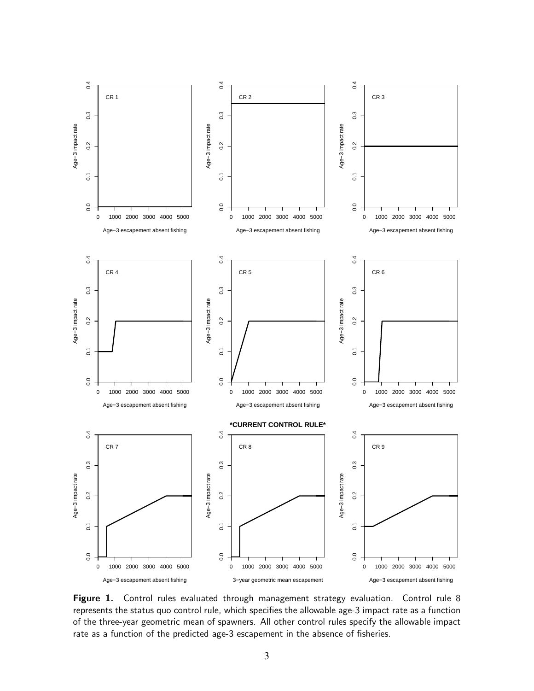

Figure 1. Control rules evaluated through management strategy evaluation. Control rule 8 represents the status quo control rule, which specifies the allowable age-3 impact rate as a function of the three-year geometric mean of spawners. All other control rules specify the allowable impact rate as a function of the predicted age-3 escapement in the absence of fisheries.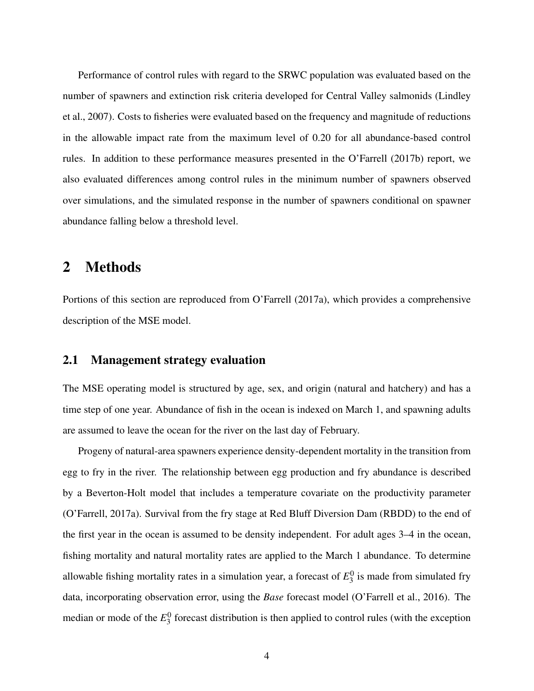Performance of control rules with regard to the SRWC population was evaluated based on the number of spawners and extinction risk criteria developed for Central Valley salmonids (Lindley et al., 2007). Costs to fisheries were evaluated based on the frequency and magnitude of reductions in the allowable impact rate from the maximum level of 0.20 for all abundance-based control rules. In addition to these performance measures presented in the O'Farrell (2017b) report, we also evaluated differences among control rules in the minimum number of spawners observed over simulations, and the simulated response in the number of spawners conditional on spawner abundance falling below a threshold level.

### 2 Methods

Portions of this section are reproduced from O'Farrell (2017a), which provides a comprehensive description of the MSE model.

#### 2.1 Management strategy evaluation

The MSE operating model is structured by age, sex, and origin (natural and hatchery) and has a time step of one year. Abundance of fish in the ocean is indexed on March 1, and spawning adults are assumed to leave the ocean for the river on the last day of February.

Progeny of natural-area spawners experience density-dependent mortality in the transition from egg to fry in the river. The relationship between egg production and fry abundance is described by a Beverton-Holt model that includes a temperature covariate on the productivity parameter (O'Farrell, 2017a). Survival from the fry stage at Red Bluff Diversion Dam (RBDD) to the end of the first year in the ocean is assumed to be density independent. For adult ages 3–4 in the ocean, fishing mortality and natural mortality rates are applied to the March 1 abundance. To determine allowable fishing mortality rates in a simulation year, a forecast of  $E_3^0$  $\frac{1}{3}$  is made from simulated fry data, incorporating observation error, using the *Base* forecast model (O'Farrell et al., 2016). The median or mode of the  $E_3^0$  $\frac{0}{3}$  forecast distribution is then applied to control rules (with the exception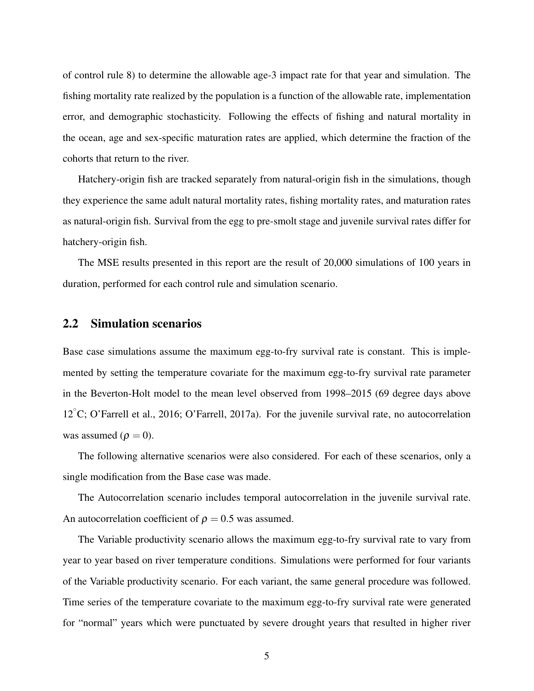of control rule 8) to determine the allowable age-3 impact rate for that year and simulation. The fishing mortality rate realized by the population is a function of the allowable rate, implementation error, and demographic stochasticity. Following the effects of fishing and natural mortality in the ocean, age and sex-specific maturation rates are applied, which determine the fraction of the cohorts that return to the river.

Hatchery-origin fish are tracked separately from natural-origin fish in the simulations, though they experience the same adult natural mortality rates, fishing mortality rates, and maturation rates as natural-origin fish. Survival from the egg to pre-smolt stage and juvenile survival rates differ for hatchery-origin fish.

The MSE results presented in this report are the result of 20,000 simulations of 100 years in duration, performed for each control rule and simulation scenario.

#### 2.2 Simulation scenarios

Base case simulations assume the maximum egg-to-fry survival rate is constant. This is implemented by setting the temperature covariate for the maximum egg-to-fry survival rate parameter in the Beverton-Holt model to the mean level observed from 1998–2015 (69 degree days above 12<sup>°</sup>C; O'Farrell et al., 2016; O'Farrell, 2017a). For the juvenile survival rate, no autocorrelation was assumed ( $\rho = 0$ ).

The following alternative scenarios were also considered. For each of these scenarios, only a single modification from the Base case was made.

The Autocorrelation scenario includes temporal autocorrelation in the juvenile survival rate. An autocorrelation coefficient of  $\rho = 0.5$  was assumed.

The Variable productivity scenario allows the maximum egg-to-fry survival rate to vary from year to year based on river temperature conditions. Simulations were performed for four variants of the Variable productivity scenario. For each variant, the same general procedure was followed. Time series of the temperature covariate to the maximum egg-to-fry survival rate were generated for "normal" years which were punctuated by severe drought years that resulted in higher river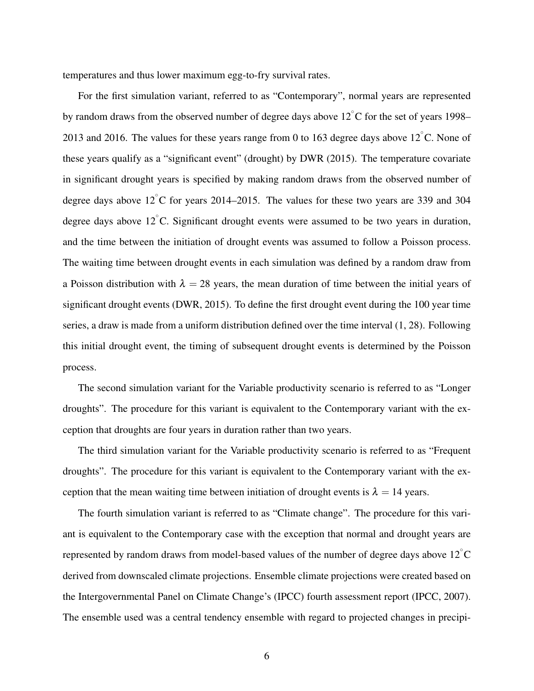temperatures and thus lower maximum egg-to-fry survival rates.

For the first simulation variant, referred to as "Contemporary", normal years are represented by random draws from the observed number of degree days above  $12^{\circ}$ C for the set of years 1998– 2013 and 2016. The values for these years range from 0 to 163 degree days above  $12^{\circ}$ C. None of these years qualify as a "significant event" (drought) by DWR (2015). The temperature covariate in significant drought years is specified by making random draws from the observed number of degree days above  $12^{\circ}$ C for years 2014–2015. The values for these two years are 339 and 304 degree days above  $12^{\circ}$ C. Significant drought events were assumed to be two years in duration, and the time between the initiation of drought events was assumed to follow a Poisson process. The waiting time between drought events in each simulation was defined by a random draw from a Poisson distribution with  $\lambda = 28$  years, the mean duration of time between the initial years of significant drought events (DWR, 2015). To define the first drought event during the 100 year time series, a draw is made from a uniform distribution defined over the time interval (1, 28). Following this initial drought event, the timing of subsequent drought events is determined by the Poisson process.

The second simulation variant for the Variable productivity scenario is referred to as "Longer droughts". The procedure for this variant is equivalent to the Contemporary variant with the exception that droughts are four years in duration rather than two years.

The third simulation variant for the Variable productivity scenario is referred to as "Frequent droughts". The procedure for this variant is equivalent to the Contemporary variant with the exception that the mean waiting time between initiation of drought events is  $\lambda = 14$  years.

The fourth simulation variant is referred to as "Climate change". The procedure for this variant is equivalent to the Contemporary case with the exception that normal and drought years are represented by random draws from model-based values of the number of degree days above 12 $^{\circ}{\rm C}$ derived from downscaled climate projections. Ensemble climate projections were created based on the Intergovernmental Panel on Climate Change's (IPCC) fourth assessment report (IPCC, 2007). The ensemble used was a central tendency ensemble with regard to projected changes in precipi-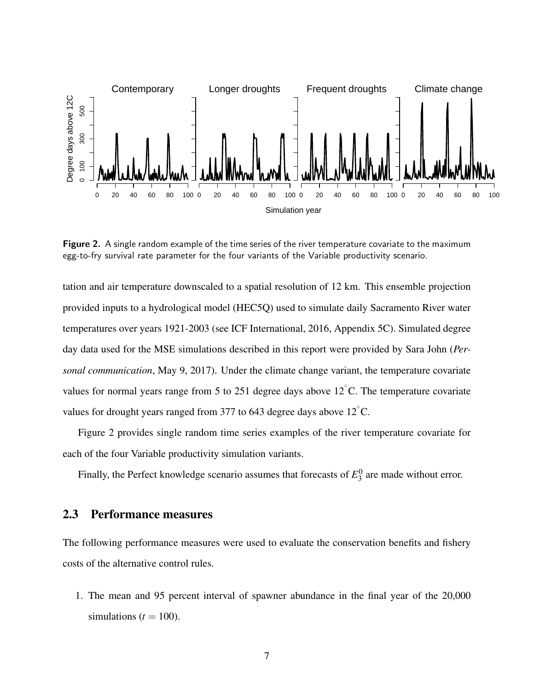

Figure 2. A single random example of the time series of the river temperature covariate to the maximum egg-to-fry survival rate parameter for the four variants of the Variable productivity scenario.

tation and air temperature downscaled to a spatial resolution of 12 km. This ensemble projection provided inputs to a hydrological model (HEC5Q) used to simulate daily Sacramento River water temperatures over years 1921-2003 (see ICF International, 2016, Appendix 5C). Simulated degree day data used for the MSE simulations described in this report were provided by Sara John (*Personal communication*, May 9, 2017). Under the climate change variant, the temperature covariate values for normal years range from 5 to 251 degree days above  $12^{\circ}$ C. The temperature covariate values for drought years ranged from 377 to 643 degree days above  $12^{\circ}$ C.

Figure 2 provides single random time series examples of the river temperature covariate for each of the four Variable productivity simulation variants.

Finally, the Perfect knowledge scenario assumes that forecasts of  $E_3^0$  $\frac{1}{3}$  are made without error.

#### 2.3 Performance measures

The following performance measures were used to evaluate the conservation benefits and fishery costs of the alternative control rules.

1. The mean and 95 percent interval of spawner abundance in the final year of the 20,000 simulations  $(t = 100)$ .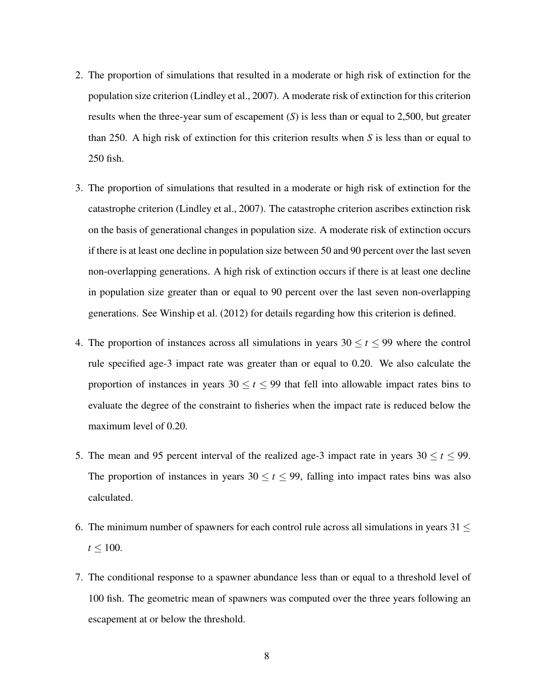- 2. The proportion of simulations that resulted in a moderate or high risk of extinction for the population size criterion (Lindley et al., 2007). A moderate risk of extinction for this criterion results when the three-year sum of escapement (*S*) is less than or equal to 2,500, but greater than 250. A high risk of extinction for this criterion results when *S* is less than or equal to 250 fish.
- 3. The proportion of simulations that resulted in a moderate or high risk of extinction for the catastrophe criterion (Lindley et al., 2007). The catastrophe criterion ascribes extinction risk on the basis of generational changes in population size. A moderate risk of extinction occurs if there is at least one decline in population size between 50 and 90 percent over the last seven non-overlapping generations. A high risk of extinction occurs if there is at least one decline in population size greater than or equal to 90 percent over the last seven non-overlapping generations. See Winship et al. (2012) for details regarding how this criterion is defined.
- 4. The proportion of instances across all simulations in years  $30 \le t \le 99$  where the control rule specified age-3 impact rate was greater than or equal to 0.20. We also calculate the proportion of instances in years  $30 \le t \le 99$  that fell into allowable impact rates bins to evaluate the degree of the constraint to fisheries when the impact rate is reduced below the maximum level of 0.20.
- 5. The mean and 95 percent interval of the realized age-3 impact rate in years  $30 \le t \le 99$ . The proportion of instances in years  $30 \le t \le 99$ , falling into impact rates bins was also calculated.
- 6. The minimum number of spawners for each control rule across all simulations in years  $31 \le$  $t \leq 100$ .
- 7. The conditional response to a spawner abundance less than or equal to a threshold level of 100 fish. The geometric mean of spawners was computed over the three years following an escapement at or below the threshold.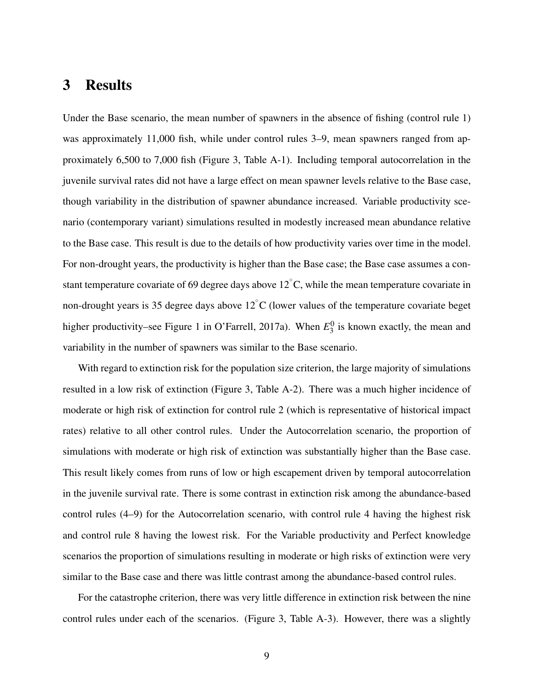# 3 Results

Under the Base scenario, the mean number of spawners in the absence of fishing (control rule 1) was approximately 11,000 fish, while under control rules 3–9, mean spawners ranged from approximately 6,500 to 7,000 fish (Figure 3, Table A-1). Including temporal autocorrelation in the juvenile survival rates did not have a large effect on mean spawner levels relative to the Base case, though variability in the distribution of spawner abundance increased. Variable productivity scenario (contemporary variant) simulations resulted in modestly increased mean abundance relative to the Base case. This result is due to the details of how productivity varies over time in the model. For non-drought years, the productivity is higher than the Base case; the Base case assumes a constant temperature covariate of 69 degree days above 12 $^{\circ}$ C, while the mean temperature covariate in non-drought years is 35 degree days above  $12^{\circ}$ C (lower values of the temperature covariate beget higher productivity–see Figure 1 in O'Farrell, 2017a). When  $E_3^0$  $\frac{0}{3}$  is known exactly, the mean and variability in the number of spawners was similar to the Base scenario.

With regard to extinction risk for the population size criterion, the large majority of simulations resulted in a low risk of extinction (Figure 3, Table A-2). There was a much higher incidence of moderate or high risk of extinction for control rule 2 (which is representative of historical impact rates) relative to all other control rules. Under the Autocorrelation scenario, the proportion of simulations with moderate or high risk of extinction was substantially higher than the Base case. This result likely comes from runs of low or high escapement driven by temporal autocorrelation in the juvenile survival rate. There is some contrast in extinction risk among the abundance-based control rules (4–9) for the Autocorrelation scenario, with control rule 4 having the highest risk and control rule 8 having the lowest risk. For the Variable productivity and Perfect knowledge scenarios the proportion of simulations resulting in moderate or high risks of extinction were very similar to the Base case and there was little contrast among the abundance-based control rules.

For the catastrophe criterion, there was very little difference in extinction risk between the nine control rules under each of the scenarios. (Figure 3, Table A-3). However, there was a slightly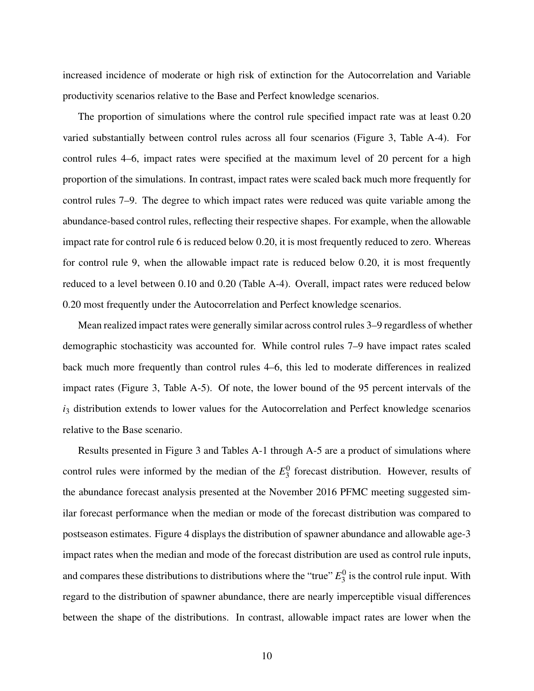increased incidence of moderate or high risk of extinction for the Autocorrelation and Variable productivity scenarios relative to the Base and Perfect knowledge scenarios.

The proportion of simulations where the control rule specified impact rate was at least 0.20 varied substantially between control rules across all four scenarios (Figure 3, Table A-4). For control rules 4–6, impact rates were specified at the maximum level of 20 percent for a high proportion of the simulations. In contrast, impact rates were scaled back much more frequently for control rules 7–9. The degree to which impact rates were reduced was quite variable among the abundance-based control rules, reflecting their respective shapes. For example, when the allowable impact rate for control rule 6 is reduced below 0.20, it is most frequently reduced to zero. Whereas for control rule 9, when the allowable impact rate is reduced below 0.20, it is most frequently reduced to a level between 0.10 and 0.20 (Table A-4). Overall, impact rates were reduced below 0.20 most frequently under the Autocorrelation and Perfect knowledge scenarios.

Mean realized impact rates were generally similar across control rules 3–9 regardless of whether demographic stochasticity was accounted for. While control rules 7–9 have impact rates scaled back much more frequently than control rules 4–6, this led to moderate differences in realized impact rates (Figure 3, Table A-5). Of note, the lower bound of the 95 percent intervals of the *i*<sub>3</sub> distribution extends to lower values for the Autocorrelation and Perfect knowledge scenarios relative to the Base scenario.

Results presented in Figure 3 and Tables A-1 through A-5 are a product of simulations where control rules were informed by the median of the  $E_3^0$  $\frac{0}{3}$  forecast distribution. However, results of the abundance forecast analysis presented at the November 2016 PFMC meeting suggested similar forecast performance when the median or mode of the forecast distribution was compared to postseason estimates. Figure 4 displays the distribution of spawner abundance and allowable age-3 impact rates when the median and mode of the forecast distribution are used as control rule inputs, and compares these distributions to distributions where the "true" *E* 0  $\frac{0}{3}$  is the control rule input. With regard to the distribution of spawner abundance, there are nearly imperceptible visual differences between the shape of the distributions. In contrast, allowable impact rates are lower when the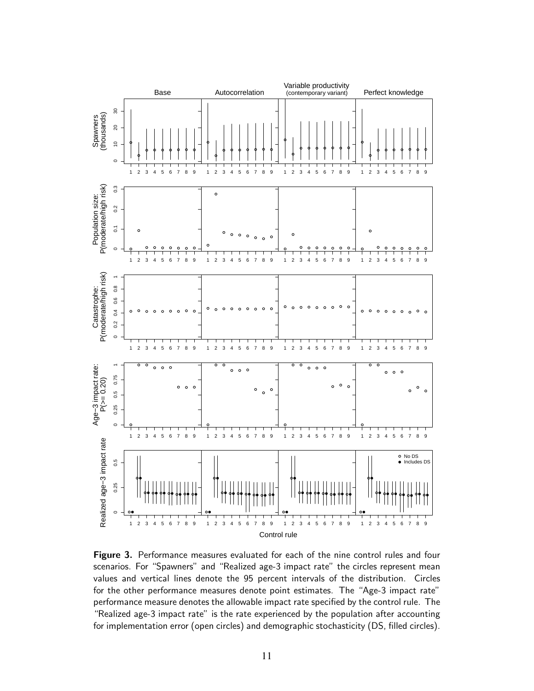

Figure 3. Performance measures evaluated for each of the nine control rules and four scenarios. For "Spawners" and "Realized age-3 impact rate" the circles represent mean values and vertical lines denote the 95 percent intervals of the distribution. Circles for the other performance measures denote point estimates. The "Age-3 impact rate" performance measure denotes the allowable impact rate specified by the control rule. The "Realized age-3 impact rate" is the rate experienced by the population after accounting for implementation error (open circles) and demographic stochasticity (DS, filled circles).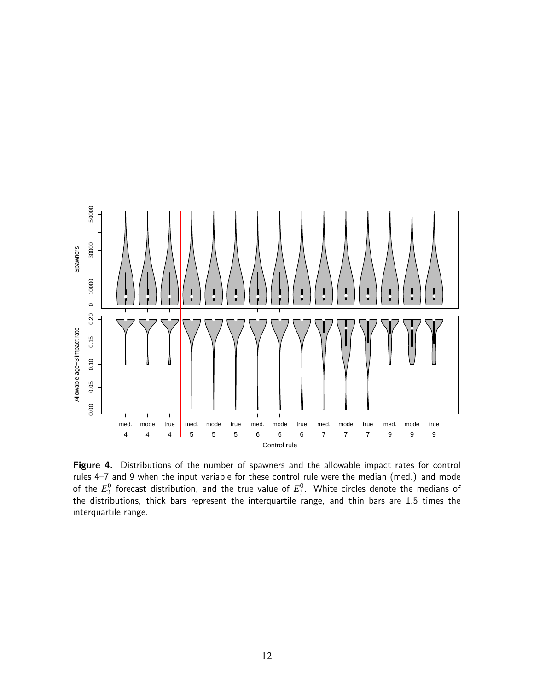

Figure 4. Distributions of the number of spawners and the allowable impact rates for control rules 4–7 and 9 when the input variable for these control rule were the median (med.) and mode of the  $E_3^0$  forecast distribution, and the true value of  $E_3^0$ . White circles denote the medians of the distributions, thick bars represent the interquartile range, and thin bars are 1.5 times the interquartile range.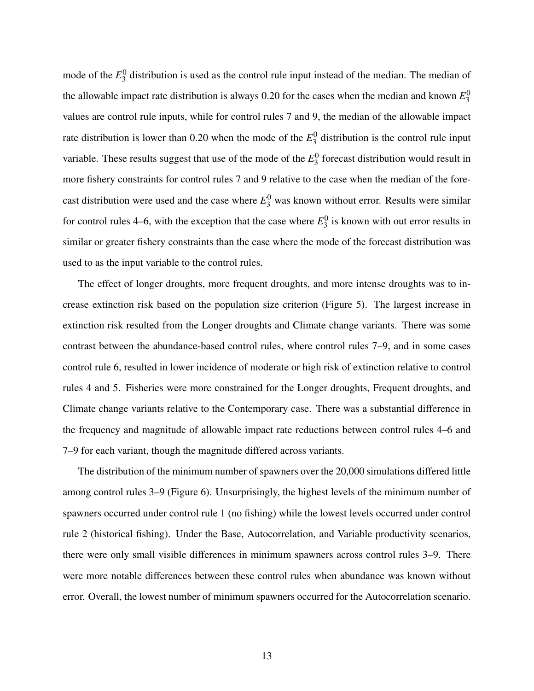mode of the  $E_3^0$  $\frac{0}{3}$  distribution is used as the control rule input instead of the median. The median of the allowable impact rate distribution is always  $0.20$  for the cases when the median and known  $E_3^0$ 3 values are control rule inputs, while for control rules 7 and 9, the median of the allowable impact rate distribution is lower than 0.20 when the mode of the  $E_3^0$  $\frac{0}{3}$  distribution is the control rule input variable. These results suggest that use of the mode of the  $E_3^0$  $\frac{0}{3}$  forecast distribution would result in more fishery constraints for control rules 7 and 9 relative to the case when the median of the forecast distribution were used and the case where  $E_3^0$  was known without error. Results were similar for control rules 4–6, with the exception that the case where  $E_3^0$  $\frac{0}{3}$  is known with out error results in similar or greater fishery constraints than the case where the mode of the forecast distribution was used to as the input variable to the control rules.

The effect of longer droughts, more frequent droughts, and more intense droughts was to increase extinction risk based on the population size criterion (Figure 5). The largest increase in extinction risk resulted from the Longer droughts and Climate change variants. There was some contrast between the abundance-based control rules, where control rules 7–9, and in some cases control rule 6, resulted in lower incidence of moderate or high risk of extinction relative to control rules 4 and 5. Fisheries were more constrained for the Longer droughts, Frequent droughts, and Climate change variants relative to the Contemporary case. There was a substantial difference in the frequency and magnitude of allowable impact rate reductions between control rules 4–6 and 7–9 for each variant, though the magnitude differed across variants.

The distribution of the minimum number of spawners over the 20,000 simulations differed little among control rules 3–9 (Figure 6). Unsurprisingly, the highest levels of the minimum number of spawners occurred under control rule 1 (no fishing) while the lowest levels occurred under control rule 2 (historical fishing). Under the Base, Autocorrelation, and Variable productivity scenarios, there were only small visible differences in minimum spawners across control rules 3–9. There were more notable differences between these control rules when abundance was known without error. Overall, the lowest number of minimum spawners occurred for the Autocorrelation scenario.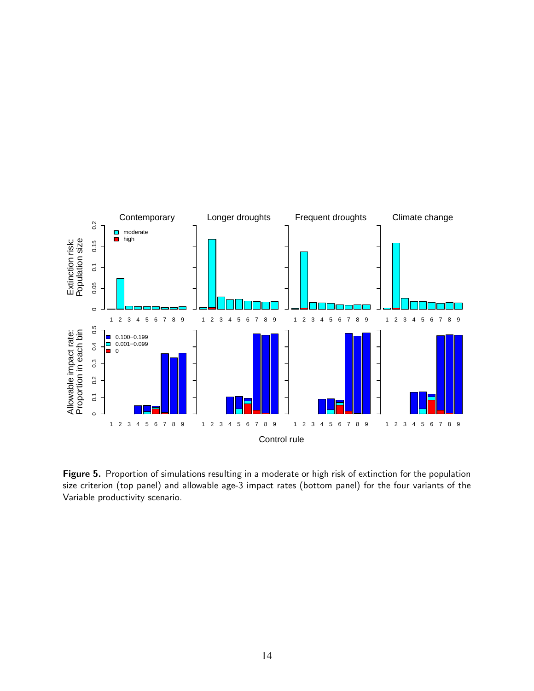

Figure 5. Proportion of simulations resulting in a moderate or high risk of extinction for the population size criterion (top panel) and allowable age-3 impact rates (bottom panel) for the four variants of the Variable productivity scenario.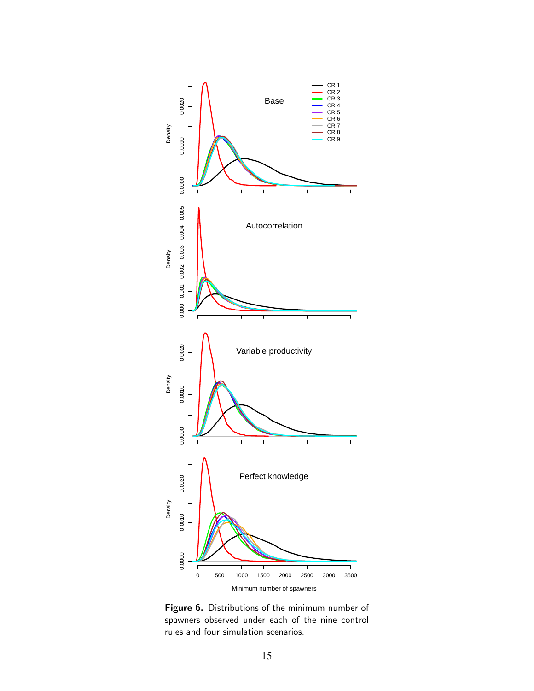

Figure 6. Distributions of the minimum number of spawners observed under each of the nine control rules and four simulation scenarios.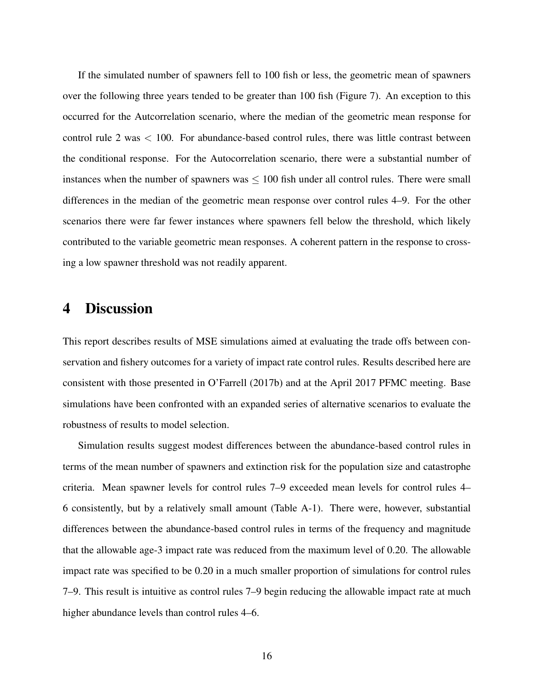If the simulated number of spawners fell to 100 fish or less, the geometric mean of spawners over the following three years tended to be greater than 100 fish (Figure 7). An exception to this occurred for the Autcorrelation scenario, where the median of the geometric mean response for control rule 2 was < 100. For abundance-based control rules, there was little contrast between the conditional response. For the Autocorrelation scenario, there were a substantial number of instances when the number of spawners was  $\leq 100$  fish under all control rules. There were small differences in the median of the geometric mean response over control rules 4–9. For the other scenarios there were far fewer instances where spawners fell below the threshold, which likely contributed to the variable geometric mean responses. A coherent pattern in the response to crossing a low spawner threshold was not readily apparent.

### 4 Discussion

This report describes results of MSE simulations aimed at evaluating the trade offs between conservation and fishery outcomes for a variety of impact rate control rules. Results described here are consistent with those presented in O'Farrell (2017b) and at the April 2017 PFMC meeting. Base simulations have been confronted with an expanded series of alternative scenarios to evaluate the robustness of results to model selection.

Simulation results suggest modest differences between the abundance-based control rules in terms of the mean number of spawners and extinction risk for the population size and catastrophe criteria. Mean spawner levels for control rules 7–9 exceeded mean levels for control rules 4– 6 consistently, but by a relatively small amount (Table A-1). There were, however, substantial differences between the abundance-based control rules in terms of the frequency and magnitude that the allowable age-3 impact rate was reduced from the maximum level of 0.20. The allowable impact rate was specified to be 0.20 in a much smaller proportion of simulations for control rules 7–9. This result is intuitive as control rules 7–9 begin reducing the allowable impact rate at much higher abundance levels than control rules 4–6.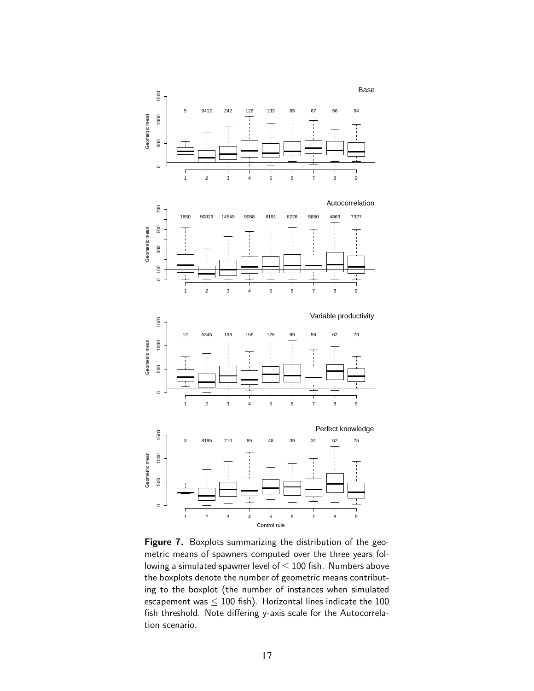





123456789 Control rule Figure 7. Boxplots summarizing the distribution of the geometric means of spawners computed over the three years following a simulated spawner level of  $\leq$  100 fish. Numbers above the boxplots denote the number of geometric means contributing to the boxplot (the number of instances when simulated escapement was  $\leq 100$  fish). Horizontal lines indicate the 100 fish threshold. Note differing y-axis scale for the Autocorrelation scenario.

 $\circ$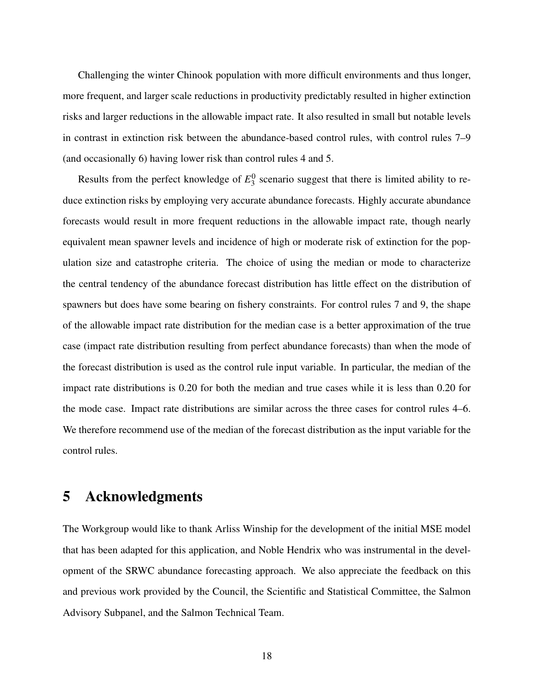Challenging the winter Chinook population with more difficult environments and thus longer, more frequent, and larger scale reductions in productivity predictably resulted in higher extinction risks and larger reductions in the allowable impact rate. It also resulted in small but notable levels in contrast in extinction risk between the abundance-based control rules, with control rules 7–9 (and occasionally 6) having lower risk than control rules 4 and 5.

Results from the perfect knowledge of  $E_3^0$  $\frac{0}{3}$  scenario suggest that there is limited ability to reduce extinction risks by employing very accurate abundance forecasts. Highly accurate abundance forecasts would result in more frequent reductions in the allowable impact rate, though nearly equivalent mean spawner levels and incidence of high or moderate risk of extinction for the population size and catastrophe criteria. The choice of using the median or mode to characterize the central tendency of the abundance forecast distribution has little effect on the distribution of spawners but does have some bearing on fishery constraints. For control rules 7 and 9, the shape of the allowable impact rate distribution for the median case is a better approximation of the true case (impact rate distribution resulting from perfect abundance forecasts) than when the mode of the forecast distribution is used as the control rule input variable. In particular, the median of the impact rate distributions is 0.20 for both the median and true cases while it is less than 0.20 for the mode case. Impact rate distributions are similar across the three cases for control rules 4–6. We therefore recommend use of the median of the forecast distribution as the input variable for the control rules.

### 5 Acknowledgments

The Workgroup would like to thank Arliss Winship for the development of the initial MSE model that has been adapted for this application, and Noble Hendrix who was instrumental in the development of the SRWC abundance forecasting approach. We also appreciate the feedback on this and previous work provided by the Council, the Scientific and Statistical Committee, the Salmon Advisory Subpanel, and the Salmon Technical Team.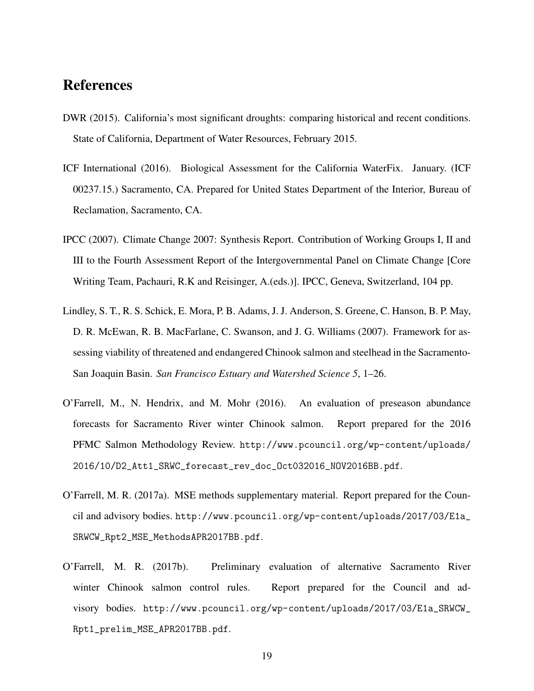# References

- DWR (2015). California's most significant droughts: comparing historical and recent conditions. State of California, Department of Water Resources, February 2015.
- ICF International (2016). Biological Assessment for the California WaterFix. January. (ICF 00237.15.) Sacramento, CA. Prepared for United States Department of the Interior, Bureau of Reclamation, Sacramento, CA.
- IPCC (2007). Climate Change 2007: Synthesis Report. Contribution of Working Groups I, II and III to the Fourth Assessment Report of the Intergovernmental Panel on Climate Change [Core Writing Team, Pachauri, R.K and Reisinger, A.(eds.)]. IPCC, Geneva, Switzerland, 104 pp.
- Lindley, S. T., R. S. Schick, E. Mora, P. B. Adams, J. J. Anderson, S. Greene, C. Hanson, B. P. May, D. R. McEwan, R. B. MacFarlane, C. Swanson, and J. G. Williams (2007). Framework for assessing viability of threatened and endangered Chinook salmon and steelhead in the Sacramento-San Joaquin Basin. *San Francisco Estuary and Watershed Science 5*, 1–26.
- O'Farrell, M., N. Hendrix, and M. Mohr (2016). An evaluation of preseason abundance forecasts for Sacramento River winter Chinook salmon. Report prepared for the 2016 PFMC Salmon Methodology Review. http://www.pcouncil.org/wp-content/uploads/ 2016/10/D2\_Att1\_SRWC\_forecast\_rev\_doc\_Oct032016\_NOV2016BB.pdf.
- O'Farrell, M. R. (2017a). MSE methods supplementary material. Report prepared for the Council and advisory bodies. http://www.pcouncil.org/wp-content/uploads/2017/03/E1a\_ SRWCW\_Rpt2\_MSE\_MethodsAPR2017BB.pdf.
- O'Farrell, M. R. (2017b). Preliminary evaluation of alternative Sacramento River winter Chinook salmon control rules. Report prepared for the Council and advisory bodies. http://www.pcouncil.org/wp-content/uploads/2017/03/E1a\_SRWCW\_ Rpt1\_prelim\_MSE\_APR2017BB.pdf.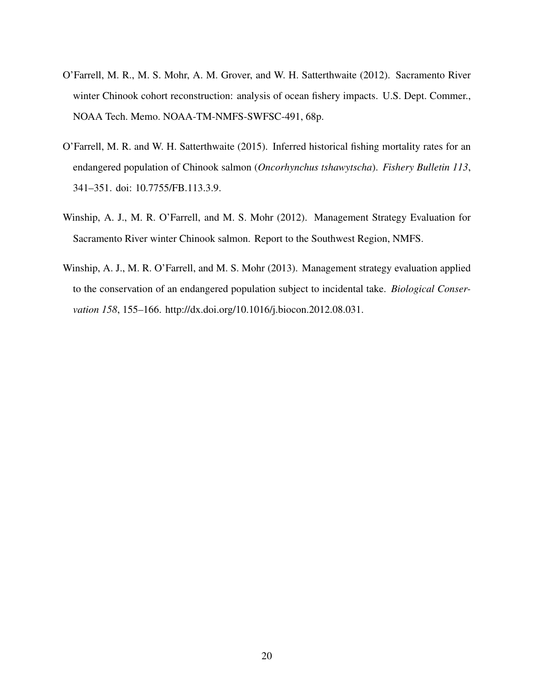- O'Farrell, M. R., M. S. Mohr, A. M. Grover, and W. H. Satterthwaite (2012). Sacramento River winter Chinook cohort reconstruction: analysis of ocean fishery impacts. U.S. Dept. Commer., NOAA Tech. Memo. NOAA-TM-NMFS-SWFSC-491, 68p.
- O'Farrell, M. R. and W. H. Satterthwaite (2015). Inferred historical fishing mortality rates for an endangered population of Chinook salmon (*Oncorhynchus tshawytscha*). *Fishery Bulletin 113*, 341–351. doi: 10.7755/FB.113.3.9.
- Winship, A. J., M. R. O'Farrell, and M. S. Mohr (2012). Management Strategy Evaluation for Sacramento River winter Chinook salmon. Report to the Southwest Region, NMFS.
- Winship, A. J., M. R. O'Farrell, and M. S. Mohr (2013). Management strategy evaluation applied to the conservation of an endangered population subject to incidental take. *Biological Conservation 158*, 155–166. http://dx.doi.org/10.1016/j.biocon.2012.08.031.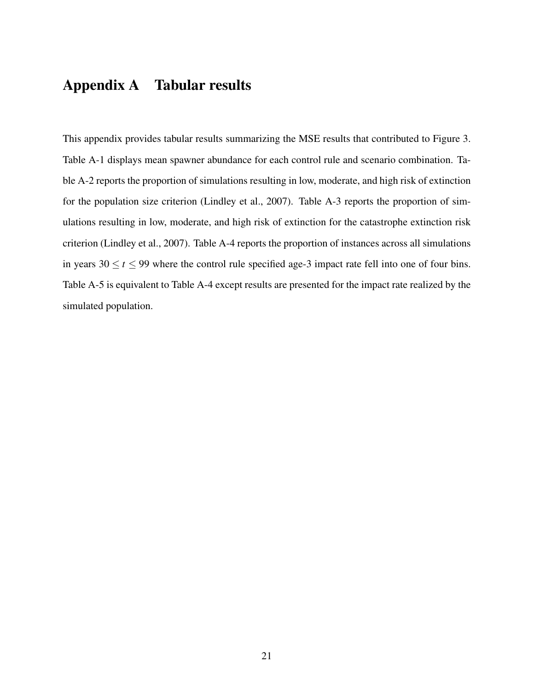# Appendix A Tabular results

This appendix provides tabular results summarizing the MSE results that contributed to Figure 3. Table A-1 displays mean spawner abundance for each control rule and scenario combination. Table A-2 reports the proportion of simulations resulting in low, moderate, and high risk of extinction for the population size criterion (Lindley et al., 2007). Table A-3 reports the proportion of simulations resulting in low, moderate, and high risk of extinction for the catastrophe extinction risk criterion (Lindley et al., 2007). Table A-4 reports the proportion of instances across all simulations in years  $30 \le t \le 99$  where the control rule specified age-3 impact rate fell into one of four bins. Table A-5 is equivalent to Table A-4 except results are presented for the impact rate realized by the simulated population.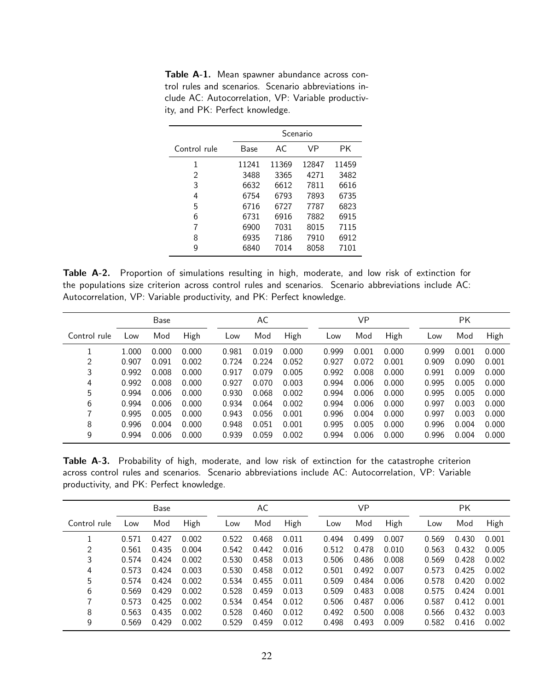Table A-1. Mean spawner abundance across control rules and scenarios. Scenario abbreviations include AC: Autocorrelation, VP: Variable productivity, and PK: Perfect knowledge.

|              |       |       | Scenario |       |
|--------------|-------|-------|----------|-------|
| Control rule | Base  | AC.   | VP       | РK    |
| 1            | 11241 | 11369 | 12847    | 11459 |
| 2            | 3488  | 3365  | 4271     | 3482  |
| 3            | 6632  | 6612  | 7811     | 6616  |
| 4            | 6754  | 6793  | 7893     | 6735  |
| 5            | 6716  | 6727  | 7787     | 6823  |
| 6            | 6731  | 6916  | 7882     | 6915  |
| 7            | 6900  | 7031  | 8015     | 7115  |
| 8            | 6935  | 7186  | 7910     | 6912  |
| g            | 6840  | 7014  | 8058     | 7101  |

Table A-2. Proportion of simulations resulting in high, moderate, and low risk of extinction for the populations size criterion across control rules and scenarios. Scenario abbreviations include AC: Autocorrelation, VP: Variable productivity, and PK: Perfect knowledge.

|              |       | Base  |       |       | AC    |       |       | VP    |       |       | РK    |       |
|--------------|-------|-------|-------|-------|-------|-------|-------|-------|-------|-------|-------|-------|
| Control rule | Low   | Mod   | High  | Low   | Mod   | High  | Low   | Mod   | High  | Low   | Mod   | High  |
|              | 1.000 | 0.000 | 0.000 | 0.981 | 0.019 | 0.000 | 0.999 | 0.001 | 0.000 | 0.999 | 0.001 | 0.000 |
| 2            | 0.907 | 0.091 | 0.002 | 0.724 | 0.224 | 0.052 | 0.927 | 0.072 | 0.001 | 0.909 | 0.090 | 0.001 |
| 3            | 0.992 | 0.008 | 0.000 | 0.917 | 0.079 | 0.005 | 0.992 | 0.008 | 0.000 | 0.991 | 0.009 | 0.000 |
| 4            | 0.992 | 0.008 | 0.000 | 0.927 | 0.070 | 0.003 | 0.994 | 0.006 | 0.000 | 0.995 | 0.005 | 0.000 |
| 5            | 0.994 | 0.006 | 0.000 | 0.930 | 0.068 | 0.002 | 0.994 | 0.006 | 0.000 | 0.995 | 0.005 | 0.000 |
| 6            | 0.994 | 0.006 | 0.000 | 0.934 | 0.064 | 0.002 | 0.994 | 0.006 | 0.000 | 0.997 | 0.003 | 0.000 |
| 7            | 0.995 | 0.005 | 0.000 | 0.943 | 0.056 | 0.001 | 0.996 | 0.004 | 0.000 | 0.997 | 0.003 | 0.000 |
| 8            | 0.996 | 0.004 | 0.000 | 0.948 | 0.051 | 0.001 | 0.995 | 0.005 | 0.000 | 0.996 | 0.004 | 0.000 |
| 9            | 0.994 | 0.006 | 0.000 | 0.939 | 0.059 | 0.002 | 0.994 | 0.006 | 0.000 | 0.996 | 0.004 | 0.000 |

Table A-3. Probability of high, moderate, and low risk of extinction for the catastrophe criterion across control rules and scenarios. Scenario abbreviations include AC: Autocorrelation, VP: Variable productivity, and PK: Perfect knowledge.

|              |       | Base  |       |       | AC    |       |       | VP.   |       |       | РK    |       |
|--------------|-------|-------|-------|-------|-------|-------|-------|-------|-------|-------|-------|-------|
| Control rule | Low   | Mod   | High  | Low   | Mod   | High  | Low   | Mod   | High  | Low   | Mod   | High  |
|              | 0.571 | 0.427 | 0.002 | 0.522 | 0.468 | 0.011 | 0.494 | 0.499 | 0.007 | 0.569 | 0.430 | 0.001 |
| 2            | 0.561 | 0.435 | 0.004 | 0.542 | 0.442 | 0.016 | 0.512 | 0.478 | 0.010 | 0.563 | 0.432 | 0.005 |
| 3            | 0.574 | 0.424 | 0.002 | 0.530 | 0.458 | 0.013 | 0.506 | 0.486 | 0.008 | 0.569 | 0.428 | 0.002 |
| 4            | 0.573 | 0.424 | 0.003 | 0.530 | 0.458 | 0.012 | 0.501 | 0.492 | 0.007 | 0.573 | 0.425 | 0.002 |
| 5            | 0.574 | 0.424 | 0.002 | 0.534 | 0.455 | 0.011 | 0.509 | 0.484 | 0.006 | 0.578 | 0.420 | 0.002 |
| 6            | 0.569 | 0.429 | 0.002 | 0.528 | 0.459 | 0.013 | 0.509 | 0.483 | 0.008 | 0.575 | 0.424 | 0.001 |
| 7            | 0.573 | 0.425 | 0.002 | 0.534 | 0.454 | 0.012 | 0.506 | 0.487 | 0.006 | 0.587 | 0.412 | 0.001 |
| 8            | 0.563 | 0.435 | 0.002 | 0.528 | 0.460 | 0.012 | 0.492 | 0.500 | 0.008 | 0.566 | 0.432 | 0.003 |
| 9            | 0.569 | 0.429 | 0.002 | 0.529 | 0.459 | 0.012 | 0.498 | 0.493 | 0.009 | 0.582 | 0.416 | 0.002 |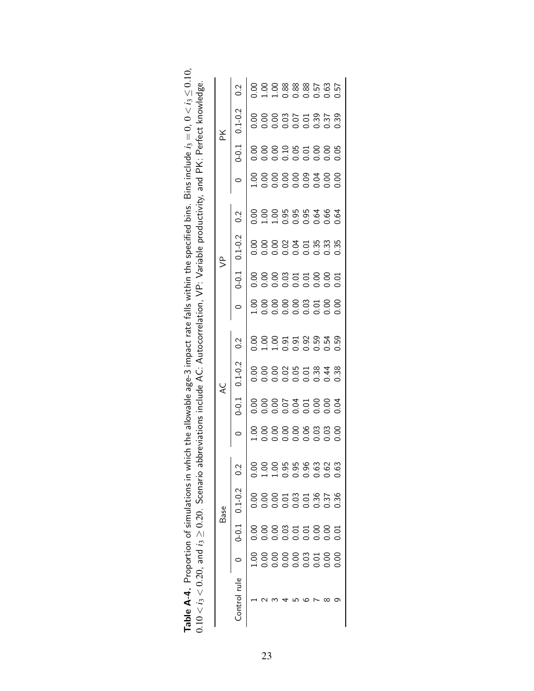| $0 - 0.1$<br>0.2<br>$0.1 - 0.2$<br>$-0.1$<br>0.2<br>$0.1 - 0.2$<br>$0 - 0.1$<br>0<br>0 0 0 0 0 0 0 0 0<br>1 0 0 0 0 0 0 0 0<br>000566006<br>000566666<br>$\frac{2}{3}$<br>$0.1 - 0.2$<br>$0 - 0.1$<br>Control rule |  | <b>Base</b> |  | Q |  | $\overline{\mathbb{S}}$ |  | ¥           |               |
|--------------------------------------------------------------------------------------------------------------------------------------------------------------------------------------------------------------------|--|-------------|--|---|--|-------------------------|--|-------------|---------------|
|                                                                                                                                                                                                                    |  |             |  |   |  |                         |  | $0.1 - 0.2$ | $\frac{2}{3}$ |
|                                                                                                                                                                                                                    |  |             |  |   |  |                         |  |             |               |
|                                                                                                                                                                                                                    |  |             |  |   |  |                         |  |             |               |
|                                                                                                                                                                                                                    |  |             |  |   |  |                         |  |             |               |
|                                                                                                                                                                                                                    |  |             |  |   |  |                         |  |             |               |
|                                                                                                                                                                                                                    |  |             |  |   |  |                         |  |             |               |
|                                                                                                                                                                                                                    |  |             |  |   |  |                         |  |             |               |
|                                                                                                                                                                                                                    |  |             |  |   |  |                         |  |             |               |
|                                                                                                                                                                                                                    |  |             |  |   |  |                         |  |             |               |
|                                                                                                                                                                                                                    |  |             |  |   |  |                         |  |             |               |

**Table A-4.** Proportion of simulations in which the allowable age-3 impact rate falls within the specified bins. Bins include  $i_3 = 0$ ,  $0 < i_3 \le 0.10$ ,  $0.10 < i_3 < 0.20$ , and  $i_3 \ge 0.20$ . Scenario abbreviations include AC **Table A-4.** Proportion of simulations in which the allowable age-3 impact rate falls within the specified bins. Bins include  $i_3 = 0$ ,  $0 < i_3 \leq 0.10$ ,  $\alpha$